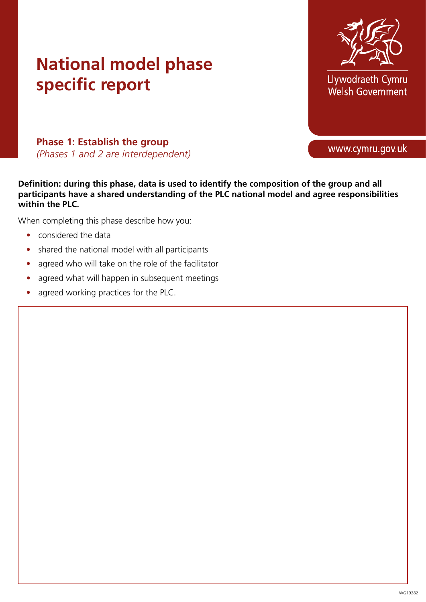

Llywodraeth Cymru Welsh Government

**Phase 1: Establish the group**  *(Phases 1 and 2 are interdependent)* 

**Definition: during this phase, data is used to identify the composition of the group and all participants have a shared understanding of the PLC national model and agree responsibilities within the PLC.** 

- considered the data
- shared the national model with all participants
- agreed who will take on the role of the facilitator
- agreed what will happen in subsequent meetings
- agreed working practices for the PLC.

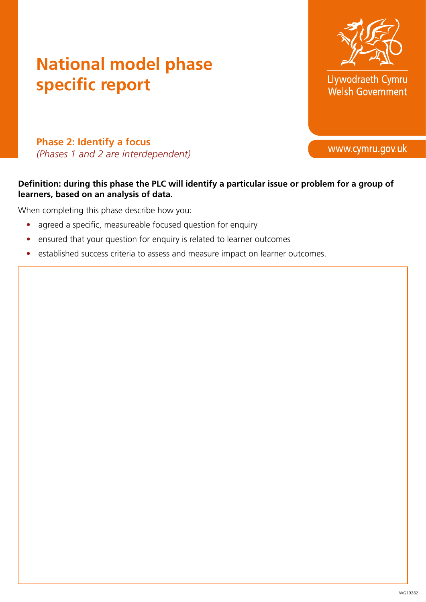

Llywodraeth Cymru Welsh Government

www.cymru.gov.uk

**Phase 2: Identify a focus**  *(Phases 1 and 2 are interdependent)*

#### **Definition: during this phase the PLC will identify a particular issue or problem for a group of learners, based on an analysis of data.**

- agreed a specific, measureable focused question for enquiry
- ensured that your question for enquiry is related to learner outcomes
- established success criteria to assess and measure impact on learner outcomes.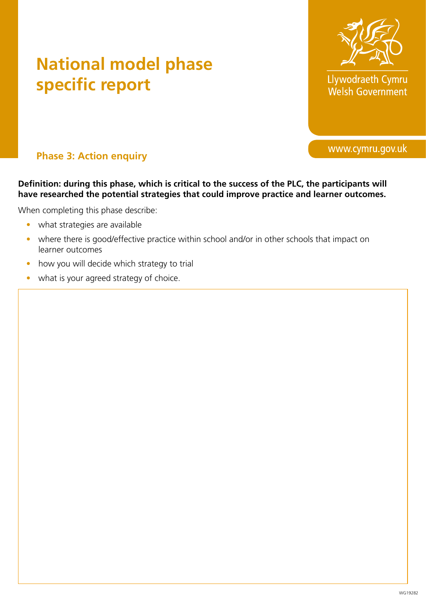

Llywodraeth Cymru Welsh Government

www.cymru.gov.uk

**Phase 3: Action enquiry** 

**Definition: during this phase, which is critical to the success of the PLC, the participants will have researched the potential strategies that could improve practice and learner outcomes.** 

When completing this phase describe:

- what strategies are available
- where there is good/effective practice within school and/or in other schools that impact on learner outcomes
- how you will decide which strategy to trial
- what is your agreed strategy of choice.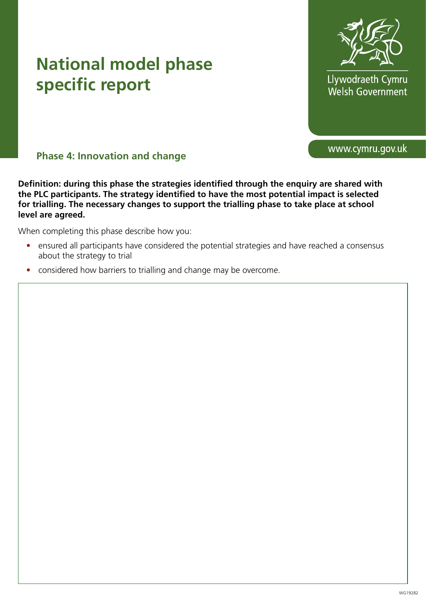

Llywodraeth Cymru Welsh Government

www.cymru.gov.uk

#### **Phase 4: Innovation and change**

**Definition: during this phase the strategies identified through the enquiry are shared with the PLC participants. The strategy identified to have the most potential impact is selected for trialling. The necessary changes to support the trialling phase to take place at school level are agreed.** 

- ensured all participants have considered the potential strategies and have reached a consensus about the strategy to trial
- considered how barriers to trialling and change may be overcome.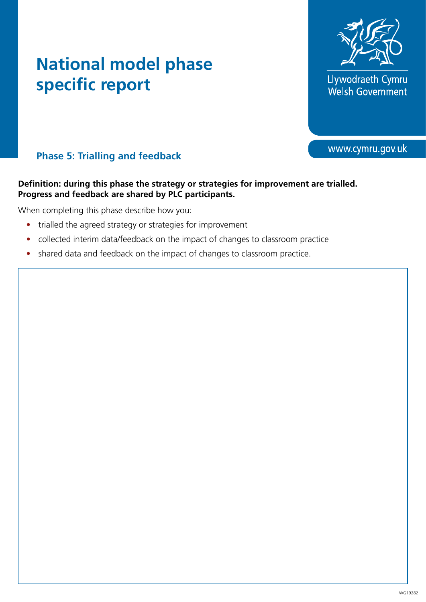

Llywodraeth Cymru<br>Welsh Government

www.cymru.gov.uk

#### **Phase 5: Trialling and feedback**

#### **Definition: during this phase the strategy or strategies for improvement are trialled. Progress and feedback are shared by PLC participants.**

- trialled the agreed strategy or strategies for improvement
- collected interim data/feedback on the impact of changes to classroom practice
- shared data and feedback on the impact of changes to classroom practice.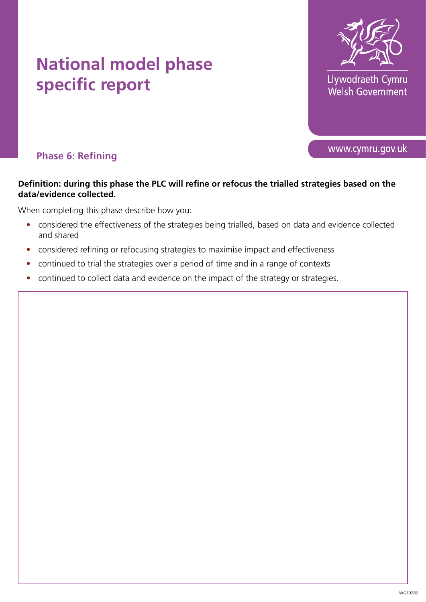

Llywodraeth Cymru Welsh Government

www.cymru.gov.uk

**Phase 6: Refining**

#### **Definition: during this phase the PLC will refine or refocus the trialled strategies based on the data/evidence collected.**

- considered the effectiveness of the strategies being trialled, based on data and evidence collected and shared
- considered refining or refocusing strategies to maximise impact and effectiveness
- continued to trial the strategies over a period of time and in a range of contexts
- continued to collect data and evidence on the impact of the strategy or strategies.